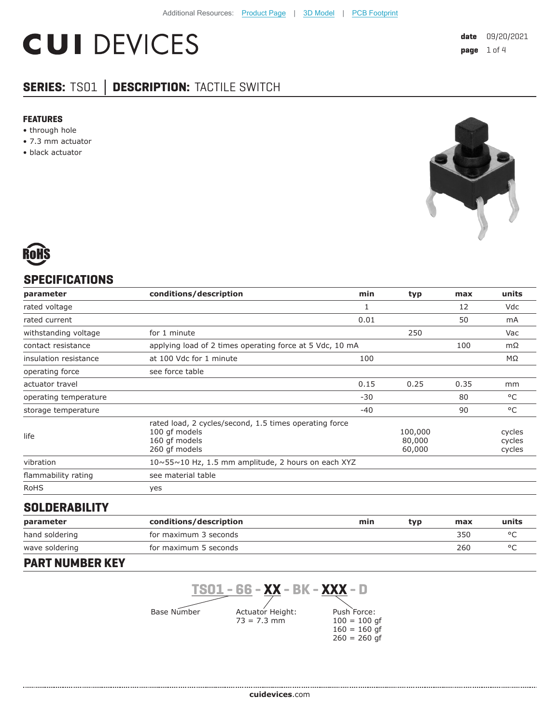# **CUI DEVICES**

## **SERIES:** TS01 **│ DESCRIPTION:** TACTILE SWITCH

#### **FEATURES**

- through hole
- 7.3 mm actuator
- black actuator





## **SPECIFICATIONS**

| parameter             | conditions/description                                                                                    | min   | typ                         | max  | units                      |
|-----------------------|-----------------------------------------------------------------------------------------------------------|-------|-----------------------------|------|----------------------------|
| rated voltage         |                                                                                                           | 1     |                             | 12   | Vdc                        |
| rated current         |                                                                                                           | 0.01  |                             | 50   | mA                         |
| withstanding voltage  | for 1 minute                                                                                              |       | 250                         |      | Vac                        |
| contact resistance    | applying load of 2 times operating force at 5 Vdc, 10 mA                                                  |       |                             | 100  | $m\Omega$                  |
| insulation resistance | at 100 Vdc for 1 minute                                                                                   | 100   |                             |      | ΜΩ                         |
| operating force       | see force table                                                                                           |       |                             |      |                            |
| actuator travel       |                                                                                                           | 0.15  | 0.25                        | 0.35 | mm                         |
| operating temperature |                                                                                                           | $-30$ |                             | 80   | °C                         |
| storage temperature   |                                                                                                           | $-40$ |                             | 90   | °C                         |
| life                  | rated load, 2 cycles/second, 1.5 times operating force<br>100 qf models<br>160 qf models<br>260 gf models |       | 100,000<br>80,000<br>60,000 |      | cycles<br>cycles<br>cycles |
| vibration             | $10 \sim 55 \sim 10$ Hz, 1.5 mm amplitude, 2 hours on each XYZ                                            |       |                             |      |                            |
| flammability rating   | see material table                                                                                        |       |                             |      |                            |
| <b>RoHS</b>           | yes                                                                                                       |       |                             |      |                            |

## **SOLDERABILITY**

| parameter      | conditions/description | min | tvp | max | units |
|----------------|------------------------|-----|-----|-----|-------|
| hand soldering | for maximum 3 seconds  |     |     | 350 |       |
| wave soldering | for maximum 5 seconds  |     |     | 260 |       |
|                |                        |     |     |     |       |

## **PART NUMBER KEY**

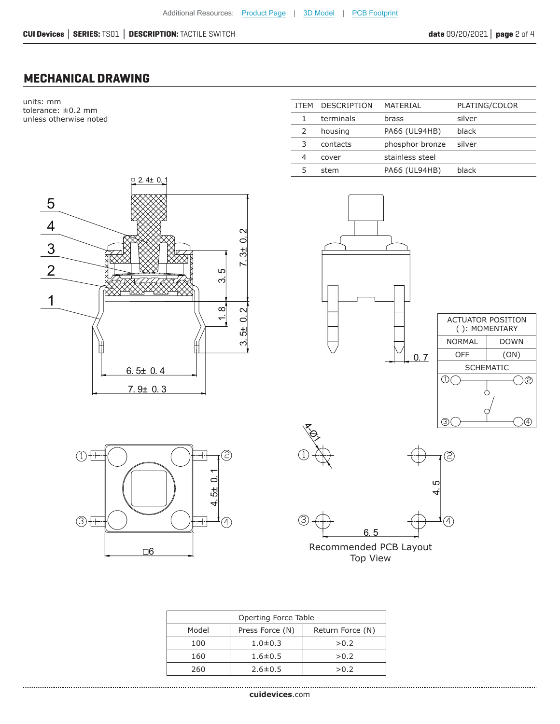#### **CUI Devices │ SERIES:** TS01 **│ DESCRIPTION:** TACTILE SWITCH **date** 09/20/2021**│ page** 2 of 4

ITEM DESCRIPTION MATERIAL PLATING/COLOR

1 terminals brass silver

## **MECHANICAL DRAWING**

units: mm tolerance: ±0.2 mm unless otherwise noted

5

 $\overline{4}$ 

3

 $\overline{2}$ 

1



| Operting Force Table |                 |                  |  |  |  |
|----------------------|-----------------|------------------|--|--|--|
| Model                | Press Force (N) | Return Force (N) |  |  |  |
| 100                  | $1.0 \pm 0.3$   | > 0.2            |  |  |  |
| 160                  | $1.6 \pm 0.5$   | > 0.2            |  |  |  |
| 260                  | $2.6 \pm 0.5$   | > 0.2            |  |  |  |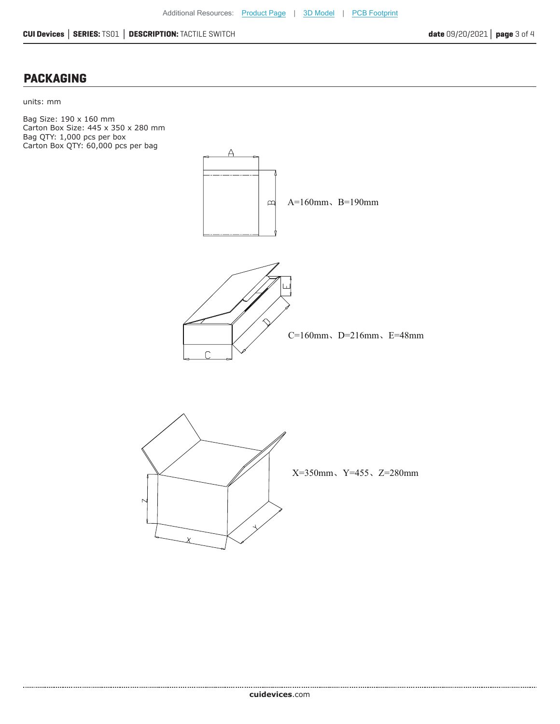#### **CUI Devices │ SERIES:** TS01 **│ DESCRIPTION:** TACTILE SWITCH **date** 09/20/2021**│ page** 3 of 4

## **PACKAGING**

units: mm

Bag Size: 190 x 160 mm Carton Box Size: 445 x 350 x 280 mm Bag QTY: 1,000 pcs per box Carton Box QTY: 60,000 pcs per bag